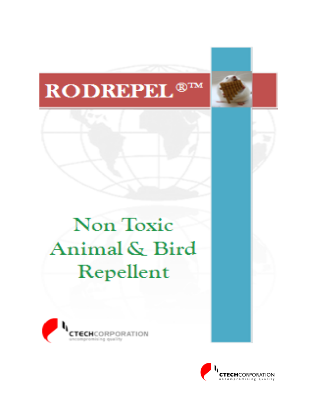# RODREPEL<sup>®™</sup>

# **Non Toxic** Animal & Bird Repellent



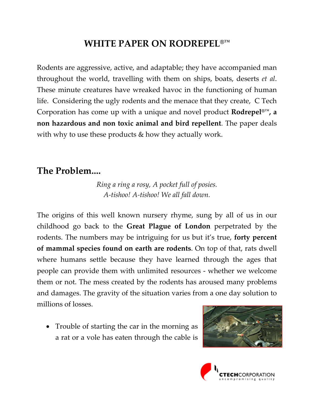### **WHITE PAPER ON RODREPEL®™**

Rodents are aggressive, active, and adaptable; they have accompanied man throughout the world, travelling with them on ships, boats, deserts *et al*. These minute creatures have wreaked havoc in the functioning of human life. Considering the ugly rodents and the menace that they create, C Tech Corporation has come up with a unique and novel product **Rodrepel®™, a non hazardous and non toxic animal and bird repellent**. The paper deals with why to use these products & how they actually work.

### **The Problem....**

*Ring a ring a rosy, A pocket full of posies. A‐tishoo! A‐tishoo! We all fall down.*

The origins of this well known nursery rhyme, sung by all of us in our childhood go back to the **Great Plague of London** perpetrated by the rodents. The numbers may be intriguing for us but it's true, **forty percent of mammal species found on earth are rodents**. On top of that, rats dwell where humans settle because they have learned through the ages that people can provide them with unlimited resources ‐ whether we welcome them or not. The mess created by the rodents has aroused many problems and damages. The gravity of the situation varies from a one day solution to millions of losses.

• Trouble of starting the car in the morning as a rat or a vole has eaten through the cable is



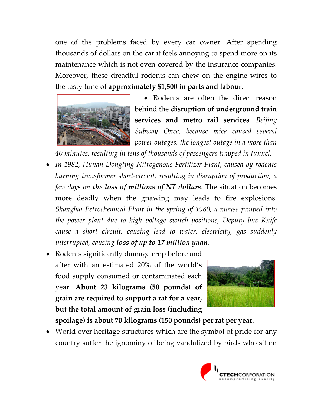one of the problems faced by every car owner. After spending thousands of dollars on the car it feels annoying to spend more on its maintenance which is not even covered by the insurance companies. Moreover, these dreadful rodents can chew on the engine wires to the tasty tune of **approximately \$1,500 in parts and labour**.



• Rodents are often the direct reason behind the **disruption of underground train services and metro rail services**. *Beijing Subway Once, because mice caused several power outages, the longest outage in a more than*

*40 minutes, resulting in tens of thousands of passengers trapped in tunnel.*

- *In 1982, Hunan Dongting Nitrogenous Fertilizer Plant, caused by rodents burning transformer short‐circuit, resulting in disruption of production, a few days on the loss of millions of NT dollars*. The situation becomes more deadly when the gnawing may leads to fire explosions. *Shanghai Petrochemical Plant in the spring of 1980, a mouse jumped into the power plant due to high voltage switch positions, Deputy bus Knife cause a short circuit, causing lead to water, electricity, gas suddenly interrupted, causing loss of up to 17 million yuan.*
- Rodents significantly damage crop before and after with an estimated 20% of the world's food supply consumed or contaminated each year. **About 23 kilograms (50 pounds) of grain are required to support a rat for a year, but the total amount of grain loss (including**



**spoilage) is about 70 kilograms (150 pounds) per rat per year**.

• World over heritage structures which are the symbol of pride for any country suffer the ignominy of being vandalized by birds who sit on

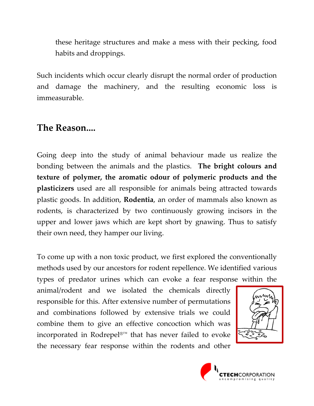these heritage structures and make a mess with their pecking, food habits and droppings.

Such incidents which occur clearly disrupt the normal order of production and damage the machinery, and the resulting economic loss is immeasurable.

#### **The Reason....**

Going deep into the study of animal behaviour made us realize the bonding between the animals and the plastics. **The bright colours and texture of polymer, the aromatic odour of polymeric products and the plasticizers** used are all responsible for animals being attracted towards plastic goods. In addition, **Rodentia**, an order of mammals also known as rodents, is characterized by two continuously growing incisors in the upper and lower jaws which are kept short by gnawing. Thus to satisfy their own need, they hamper our living.

To come up with a non toxic product, we first explored the conventionally methods used by our ancestors for rodent repellence. We identified various types of predator urines which can evoke a fear response within the

animal/rodent and we isolated the chemicals directly responsible for this. After extensive number of permutations and combinations followed by extensive trials we could combine them to give an effective concoction which was incorporated in Rodrepel®™ that has never failed to evoke the necessary fear response within the rodents and other



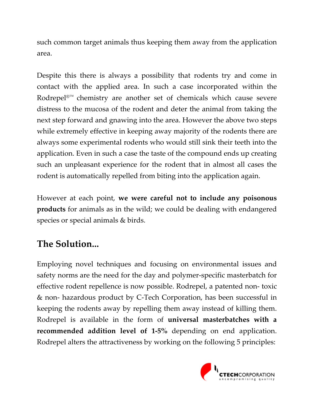such common target animals thus keeping them away from the application area.

Despite this there is always a possibility that rodents try and come in contact with the applied area. In such a case incorporated within the Rodrepel®™ chemistry are another set of chemicals which cause severe distress to the mucosa of the rodent and deter the animal from taking the next step forward and gnawing into the area. However the above two steps while extremely effective in keeping away majority of the rodents there are always some experimental rodents who would still sink their teeth into the application. Even in such a case the taste of the compound ends up creating such an unpleasant experience for the rodent that in almost all cases the rodent is automatically repelled from biting into the application again.

However at each point, **we were careful not to include any poisonous products** for animals as in the wild; we could be dealing with endangered species or special animals & birds.

## **The Solution...**

Employing novel techniques and focusing on environmental issues and safety norms are the need for the day and polymer‐specific masterbatch for effective rodent repellence is now possible. Rodrepel, a patented non‐ toxic & non‐ hazardous product by C‐Tech Corporation, has been successful in keeping the rodents away by repelling them away instead of killing them. Rodrepel is available in the form of **universal masterbatches with a recommended addition level of 1‐5%** depending on end application. Rodrepel alters the attractiveness by working on the following 5 principles:

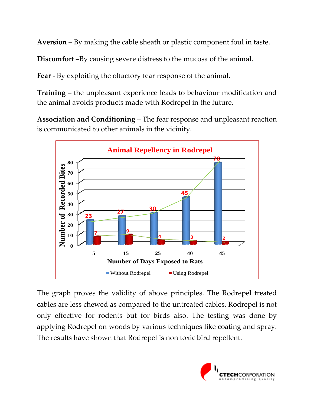**Aversion** – By making the cable sheath or plastic component foul in taste.

**Discomfort –**By causing severe distress to the mucosa of the animal.

**Fear** - By exploiting the olfactory fear response of the animal.

**Training** – the unpleasant experience leads to behaviour modification and the animal avoids products made with Rodrepel in the future.

**Association and Conditioning** – The fear response and unpleasant reaction is communicated to other animals in the vicinity.



The graph proves the validity of above principles. The Rodrepel treated cables are less chewed as compared to the untreated cables. Rodrepel is not only effective for rodents but for birds also. The testing was done by applying Rodrepel on woods by various techniques like coating and spray. The results have shown that Rodrepel is non toxic bird repellent.

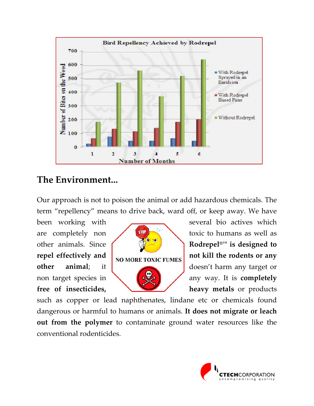

#### **The Environment...**

Our approach is not to poison the animal or add hazardous chemicals. The term "repellency" means to drive back, ward off, or keep away. We have



been working with several bio actives which are completely non  $\left\{\left|\frac{\sin\theta}{\sin\theta}\right|\right\}$  toxic to humans as well as other animals. Since **Rodrepel®™ is designed to repel effectively and not kill the rodents or any other animal**; it **doesn't harm any target or** non target species in **and the species in** any way. It is **completely free** of insecticides, **heavy** metals or products

such as copper or lead naphthenates, lindane etc or chemicals found dangerous or harmful to humans or animals. **It does not migrate or leach out from the polymer** to contaminate ground water resources like the conventional rodenticides.